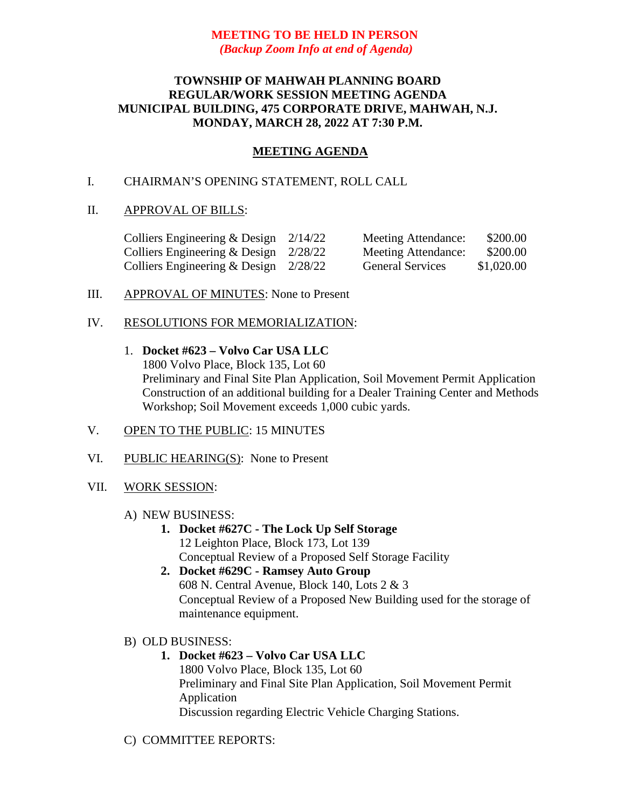# **MEETING TO BE HELD IN PERSON** *(Backup Zoom Info at end of Agenda)*

# **TOWNSHIP OF MAHWAH PLANNING BOARD REGULAR/WORK SESSION MEETING AGENDA MUNICIPAL BUILDING, 475 CORPORATE DRIVE, MAHWAH, N.J. MONDAY, MARCH 28, 2022 AT 7:30 P.M.**

# **MEETING AGENDA**

# I. CHAIRMAN'S OPENING STATEMENT, ROLL CALL

# II. APPROVAL OF BILLS:

| Colliers Engineering & Design $2/14/22$ | Meeting Attendance:     | \$200.00   |
|-----------------------------------------|-------------------------|------------|
| Colliers Engineering & Design $2/28/22$ | Meeting Attendance:     | \$200.00   |
| Colliers Engineering & Design $2/28/22$ | <b>General Services</b> | \$1,020.00 |

### III. APPROVAL OF MINUTES: None to Present

### IV. RESOLUTIONS FOR MEMORIALIZATION:

1. **Docket #623 – Volvo Car USA LLC** 1800 Volvo Place, Block 135, Lot 60 Preliminary and Final Site Plan Application, Soil Movement Permit Application Construction of an additional building for a Dealer Training Center and Methods Workshop; Soil Movement exceeds 1,000 cubic yards.

#### V. OPEN TO THE PUBLIC: 15 MINUTES

- VI. PUBLIC HEARING(S): None to Present
- VII. WORK SESSION:

#### A) NEW BUSINESS:

- **1. Docket #627C - The Lock Up Self Storage** 12 Leighton Place, Block 173, Lot 139 Conceptual Review of a Proposed Self Storage Facility
- **2. Docket #629C - Ramsey Auto Group** 608 N. Central Avenue, Block 140, Lots 2 & 3 Conceptual Review of a Proposed New Building used for the storage of maintenance equipment.
- B) OLD BUSINESS:
	- **1. Docket #623 – Volvo Car USA LLC** 1800 Volvo Place, Block 135, Lot 60 Preliminary and Final Site Plan Application, Soil Movement Permit Application Discussion regarding Electric Vehicle Charging Stations.
- C) COMMITTEE REPORTS: